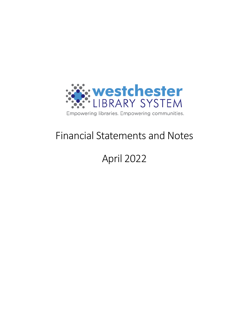

## Financial Statements and Notes

# April 2022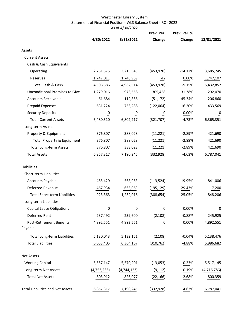#### Westchester Library System Statement of Financial Position - WLS Balance Sheet - RC - 2022 As of 4/30/2022

|                                            |                |                | Prev. Per.     | Prev. Per. % |                |  |
|--------------------------------------------|----------------|----------------|----------------|--------------|----------------|--|
|                                            | 4/30/2022      | 3/31/2022      | Change         | Change       | 12/31/2021     |  |
| Assets                                     |                |                |                |              |                |  |
| <b>Current Assets</b>                      |                |                |                |              |                |  |
| Cash & Cash Equivalents                    |                |                |                |              |                |  |
| Operating                                  | 2,761,575      | 3,215,545      | (453, 970)     | $-14.12%$    | 3,685,745      |  |
| Reserves                                   | 1,747,011      | 1,746,969      | 42             | 0.00%        | 1,747,107      |  |
| Total Cash & Cash                          | 4,508,586      | 4,962,514      | (453, 928)     | $-9.15%$     | 5,432,852      |  |
| Unconditional Promises to Give             | 1,279,016      | 973,558        | 305,458        | 31.38%       | 292,070        |  |
| <b>Accounts Receivable</b>                 | 61,684         | 112,856        | (51, 172)      | $-45.34%$    | 206,860        |  |
| <b>Prepaid Expenses</b>                    | 631,224        | 753,288        | (122,064)      | $-16.20%$    | 433,569        |  |
| <b>Security Deposits</b>                   | $\overline{0}$ | $\overline{0}$ | $\overline{0}$ | 0.00%        | $\overline{0}$ |  |
| <b>Total Current Assets</b>                | 6,480,510      | 6,802,217      | (321,707)      | $-4.73%$     | 6,365,351      |  |
| Long-term Assets                           |                |                |                |              |                |  |
| Property & Equipment                       | 376,807        | 388,028        | (11, 221)      | $-2.89%$     | 421,690        |  |
| Total Property & Equipment                 | 376,807        | 388,028        | (11, 221)      | $-2.89%$     | 421,690        |  |
| <b>Total Long-term Assets</b>              | 376,807        | 388,028        | (11, 221)      | $-2.89%$     | 421,690        |  |
| <b>Total Assets</b>                        | 6,857,317      | 7,190,245      | (332,928)      | $-4.63%$     | 6,787,041      |  |
| Liabilities                                |                |                |                |              |                |  |
| Short-term Liabilities                     |                |                |                |              |                |  |
| <b>Accounts Payable</b>                    | 455,429        | 568,953        | (113, 524)     | $-19.95%$    | 841,006        |  |
| Deferred Revenue                           | 467,934        | 663,063        | (195,129)      | $-29.43%$    | 7,200          |  |
| <b>Total Short-term Liabilities</b>        | 923,363        | 1,232,016      | (308, 654)     | $-25.05%$    | 848,206        |  |
| Long-term Liabilities                      |                |                |                |              |                |  |
| <b>Capital Lease Obligations</b>           | 0              | 0              | 0              | 0.00%        | 0              |  |
| Deferred Rent                              | 237,492        | 239,600        | (2, 108)       | $-0.88%$     | 245,925        |  |
| <b>Post-Retirement Benefits</b><br>Payable | 4,892,551      | 4,892,551      | $\overline{0}$ | 0.00%        | 4,892,551      |  |
| <b>Total Long-term Liabilities</b>         | 5,130,043      | 5,132,151      | (2, 108)       | $-0.04%$     | 5,138,476      |  |
| <b>Total Liabilities</b>                   | 6,053,405      | 6,364,167      | (310, 762)     | $-4.88%$     | 5,986,682      |  |
| <b>Net Assets</b>                          |                |                |                |              |                |  |
| <b>Working Capital</b>                     | 5,557,147      | 5,570,201      | (13,053)       | $-0.23%$     | 5,517,145      |  |
| Long-term Net Assets                       | (4,753,236)    | (4, 744, 123)  | (9, 112)       | 0.19%        | (4, 716, 786)  |  |
| <b>Total Net Assets</b>                    | 803,912        | 826,077        | (22, 166)      | $-2.68%$     | 800,359        |  |
| <b>Total Liabilities and Net Assets</b>    | 6,857,317      | 7,190,245      | (332, 928)     | $-4.63%$     | 6,787,041      |  |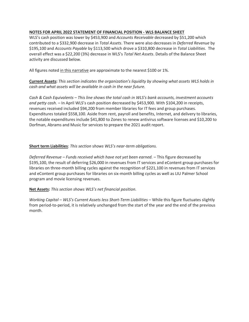#### **NOTES FOR APRIL 2022 STATEMENT OF FINANCIAL POSITION - WLS BALANCE SHEET**

WLS's cash position was lower by \$453,900 and *Accounts Receivable* decreased by \$51,200 which contributed to a \$332,900 decrease in *Total Assets*. There were also decreases in *Deferred Revenue* by \$195,100 and *Accounts Payable* by \$113,500 which drove a \$310,800 decrease in *Total Liabilities*. The overall effect was a \$22,200 (3%) decrease in WLS's *Total Net Assets*. Details of the Balance Sheet activity are discussed below.

All figures noted in this narrative are approximate to the nearest \$100 or 1%.

**Current Assets:** *This section indicates the organization's liquidity by showing what assets WLS holds in cash and what assets will be available in cash in the near future.*

*Cash & Cash Equivalents – This line shows the total cash in WLS's bank accounts, investment accounts and petty cash.* – In April WLS's cash position decreased by \$453,900. With \$104,200 in receipts, revenues received included \$94,200 from member libraries for IT fees and group purchases. Expenditures totaled \$558,100. Aside from rent, payroll and benefits, Internet, and delivery to libraries, the notable expenditures include \$41,800 to Zones to renew antivirus software licenses and \$10,200 to Dorfman, Abrams and Music for services to prepare the 2021 audit report.

#### **Short term Liabilities**: *This section* s*hows WLS's near-term obligations.*

*Deferred Revenue – Funds received which have not yet been earned.* – This figure decreased by \$195,100, the result of deferring \$26,000 in revenues from IT services and eContent group purchases for libraries on three-month billing cycles against the recognition of \$221,100 in revenues from IT services and eContent group purchases for libraries on six-month billing cycles as well as LIU Palmer School program and movie licensing revenues.

#### **Net Assets:** *This section shows WLS's net financial position.*

*Working Capital* – *WLS's Current Assets less Short-Term Liabilities* – While this figure fluctuates slightly from period-to-period, it is relatively unchanged from the start of the year and the end of the previous month.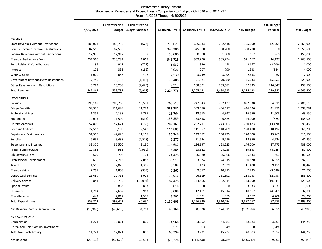#### Westchester Library System Statement of Revenues and Expenditures - Comparison to Budget with 2020 and 2021 YTD From 4/1/2022 Through 4/30/2022

|                                             | 4/30/2022      | <b>Current Period</b> | <b>Current Period</b><br><b>Budget Budget Variance</b> | 4/30/2020 YTD | 4/30/2021 YTD | 4/30/2022 YTD   |                | <b>YTD Budget</b> |
|---------------------------------------------|----------------|-----------------------|--------------------------------------------------------|---------------|---------------|-----------------|----------------|-------------------|
|                                             |                |                       |                                                        |               |               |                 |                |                   |
| Revenue                                     |                |                       |                                                        |               |               |                 |                |                   |
| <b>State Revenues without Restrictions</b>  | 188,073        | 188,750               | (677)                                                  | 775,029       | 605,233       | 752,418         | 755,000        |                   |
| <b>County Revenues without Restrictions</b> | 87,550         | 87,550                | $\Omega$                                               | 343,200       | 345,800       | 350,200         | 350,200        |                   |
| Federal Revenues without Restrictions       | 12,925         | 12,917                | 8                                                      | 55,000        | 50,000        | 51,600          | 51,667         |                   |
| Member Technology Fees                      | 234,360        | 230,292               | 4,068                                                  | 948,729       | 939,290       | 935,294         | 921,167        |                   |
| Fund Raising & Contributions                | 194            | 917                   | (722)                                                  | 6,937         | 890           | 458             | 3,667          |                   |
| Interest                                    | 172            | 333                   | (162)                                                  | 9,026         | 907           | 790             | 1,333          |                   |
| WEBS & Other                                | 1,070          | 658                   | 412                                                    | 7,530         | 3,749         | 3,095           | 2,633          |                   |
| Government Revenues with Restrictions       | 17,740         | 19,158                | (1, 418)                                               | 71,408        | 91,521        | 70,980          | 76,633         |                   |
| <b>Other Revenues with Restrictions</b>     | 5,783          | 13,208                | (7, 425)                                               | 7,917         | 168,091       | 269,681         | 52,833         |                   |
| <b>Total Revenue</b>                        | 547,867        | 553,783               | (5, 917)                                               | 2,224,776     | 2,205,481     | 2,434,515       | 2,215,133      |                   |
| Expenditures                                |                |                       |                                                        |               |               |                 |                |                   |
| Salaries                                    | 190,169        | 206,760               | 16,591                                                 | 769,717       | 747,943       | 762,427         | 827,038        |                   |
| <b>Fringe Benefits</b>                      | 99,925         | 111,648               | 11,723                                                 | 389,782       | 363,670       | 404,617         | 446,596        |                   |
| <b>Professional Fees</b>                    | 1,351          | 4,138                 | 2,787                                                  | 18,764        | 13,665        | 4,947           | 16,550         |                   |
| Equipment                                   | 12,015         | 11,500                | (515)                                                  | 135,359       | 153,558       | 46,825          | 46,000         |                   |
| Library Materials                           | 57,800         | 57,621                | (180)                                                  | 287,161       | 252,711       | 243,903         | 230,483        |                   |
| <b>Rent and Utilities</b>                   | 27,552         | 30,100                | 2,548                                                  | 111,809       | 111,857       | 110,209         | 120,400        |                   |
| <b>Repairs and Maintenance</b>              | 31,510         | 42,625                | 11,115                                                 | 135,746       | 149,552       | 150,735         | 170,500        |                   |
| <b>Supplies</b>                             | 6,035          | 3,488                 | (2, 548)                                               | 9,277         | 21,594        | 9,216           | 13,950         |                   |
| Telephone and Internet                      | 33,370         | 36,500                | 3,130                                                  | 114,632       | 124,197       | 128,225         | 146,000        |                   |
| <b>Printing and Postage</b>                 | 12,888         | 4,958                 | (7,930)                                                | 8,384         | 23,822        | 24,058          | 19,833         |                   |
| <b>Bibliographic Fees</b>                   | 6,605          | 6,708                 | 104                                                    | 24,428        | 26,880        | 26,366          | 26,833         |                   |
| <b>Professional Development</b>             | 630            | 7,718                 | 7,088                                                  | 31,911        | 3,074         | 24,015          | 30,870         |                   |
| Travel                                      | 1,515          | 2,870                 | 1,355                                                  | 8,502         | 123           | 2,329           | 11,480         |                   |
| Memberships                                 | 2,797          | 1,808                 | (989)                                                  | 1,265         | 9,317         | 10,913          | 7,233          |                   |
| <b>Contractual Services</b>                 | 23,659         | 29,733                | 6,075                                                  | 33,916        | 96,119        | 181,691         | 118,933        |                   |
| <b>Delivery Service</b>                     | 48,844         | 35,750                | (13,094)                                               | 87,428        | 144,466       | 162,544         | 143,000        |                   |
| <b>Special Events</b>                       | $\mathbf 0$    | 833                   | 833                                                    | 1,018         |               | 0               | 3,333          |                   |
| Insurance                                   | 1,704          | 2,667                 | 963                                                    | 9,008         | 12,401        | 15,614          | 10,667         |                   |
| Miscellaneous                               | 442            | 2,017                 | 1,575                                                  | 3,502         | 1,391         | 1,859           | 8,067          |                   |
| <b>Total Expenditures</b>                   | 558,812        | 599,442               | 40,630                                                 | 2,181,608     | 2,256,339     | 2,310,494       | 2,397,767      |                   |
| Net Revenue Before Depreciation             | (10, 945)      | (45, 658)             | 34,713                                                 | 43,168        | (50, 859)     | 124,021         | (182, 634)     |                   |
| Non-Cash Activity                           |                |                       |                                                        |               |               |                 |                |                   |
| Depreciation                                | 11,221         | 12,021                | 800                                                    | 74,966        | 63,252        | 44,883          | 48,083         |                   |
| Unrealized Gain/Loss on Investments         | $\overline{0}$ | $\overline{0}$        |                                                        | (6, 571)      | (21)          | $\frac{349}{2}$ | $\overline{0}$ |                   |
| <b>Total Non-Cash Activity</b>              | 11,221         | 12,021                | 800                                                    | 68,394        | 63,231        | 45,232          | 48,083         |                   |
| Net Revenue                                 | (22, 166)      | (57, 679)             | 35,513                                                 | (25, 226)     | (114,090)     | 78,789          | (230, 717)     |                   |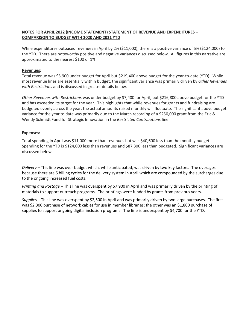#### **NOTES FOR APRIL 2022 (INCOME STATEMENT) STATEMENT OF REVENUE AND EXPENDITURES – COMPARISON TO BUDGET WITH 2020 AND 2021 YTD**

While expenditures outpaced revenues in April by 2% (\$11,000), there is a positive variance of 5% (\$124,000) for the YTD. There are noteworthy positive and negative variances discussed below. All figures in this narrative are approximated to the nearest \$100 or 1%.

#### **Revenues:**

Total revenue was \$5,900 under budget for April but \$219,400 above budget for the year-to-date (YTD). While most revenue lines are essentially within budget, the significant variance was primarily driven by *Other Revenues with Restrictions* and is discussed in greater details below.

*Other Revenues with Restrictions* was under budget by \$7,400 for April, but \$216,800 above budget for the YTD and has exceeded its target for the year. This highlights that while revenues for grants and fundraising are budgeted evenly across the year, the actual amounts raised monthly will fluctuate. The significant above budget variance for the year to date was primarily due to the March recording of a \$250,000 grant from the Eric & Wendy Schmidt Fund for Strategic Innovation in the *Restricted Contributions* line.

#### **Expenses:**

Total spending in April was \$11,000 more than revenues but was \$40,600 less than the monthly budget. Spending for the YTD is \$124,000 less than revenues and \$87,300 less than budgeted. Significant variances are discussed below.

*Delivery* – This line was over budget which, while anticipated, was driven by two key factors. The overages because there are 5 billing cycles for the delivery system in April which are compounded by the surcharges due to the ongoing increased fuel costs.

*Printing and Postage* – This line was overspent by \$7,900 in April and was primarily driven by the printing of materials to support outreach programs. The printings were funded by grants from previous years.

*Supplies* – This line was overspent by \$2,500 in April and was primarily driven by two large purchases. The first was \$2,300 purchase of network cables for use in member libraries; the other was an \$1,800 purchase of supplies to support ongoing digital inclusion programs. The line is underspent by \$4,700 for the YTD.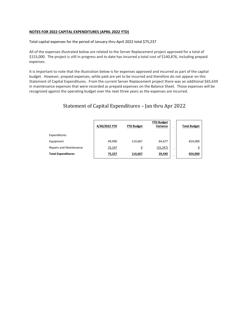#### **NOTES FOR 2022 CAPITAL EXPENDITURES (APRIL 2022 YTD)**

Total capital expenses for the period of January thru April 2022 total \$75,237

All of the expenses illustrated below are related to the Server Replacement project approved for a total of \$153,000. The project is still in progress and to date has incurred a total cost of \$140,876, including prepaid expenses.

It is important to note that the illustration below is for expenses approved and incurred as part of the capital budget. However, prepaid expenses, while paid are yet to be incurred and therefore do not appear on this Statement of Capital Expenditures. From the current Server Replacement project there was an additional \$65,639 in maintenance expenses that were recorded as prepaid expenses on the Balance Sheet. Those expenses will be recognized against the operating budget over the next three years as the expenses are incurred.

### Statement of Capital Expenditures – Jan thru Apr 2022

|                                | 4/30/2022 YTD | <b>YTD Budget</b> | <b>YTD Budget</b><br>Variance | $\blacksquare$ | <b>Total Budget</b> |
|--------------------------------|---------------|-------------------|-------------------------------|----------------|---------------------|
| Expenditures                   |               |                   |                               |                |                     |
| Equipment                      | 49.990        | 114,667           | 64,677                        |                | 654,000             |
| <b>Repairs and Maintenance</b> | 25,247        | <u>0</u>          | (25, 247)                     | -              | <u>0</u>            |
| <b>Total Expenditures</b>      | 75,237        | 114,667           | 39,430                        | -              | 654,000             |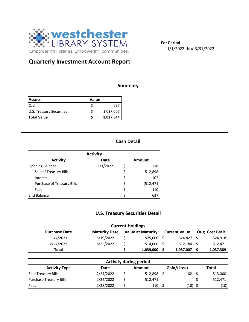

**For Period** 1/1/2022 thru 3/31/2022

## **Quarterly Investment Account Report**

#### **Summary**

| <b>Assets</b>            | Value |           |  |  |  |
|--------------------------|-------|-----------|--|--|--|
| <b>I</b> Cash            |       | 637       |  |  |  |
| U.S. Treasury Securities |       | 1,037,007 |  |  |  |
| <b>Total Value</b>       |       | 1,037,644 |  |  |  |

### **Cash Detail**

| <b>Activity</b>                          |          |    |            |  |  |  |  |  |
|------------------------------------------|----------|----|------------|--|--|--|--|--|
| <b>Activity</b><br>Date<br><b>Amount</b> |          |    |            |  |  |  |  |  |
| <b>Opening Balance</b>                   | 1/1/2022 | Ś  | 118        |  |  |  |  |  |
| Sale of Treasury Bills                   |          | \$ | 512,898    |  |  |  |  |  |
| Interest                                 |          | \$ | 102        |  |  |  |  |  |
| <b>Purchase of Treasury Bills</b>        |          | \$ | (512, 471) |  |  |  |  |  |
| Fees                                     |          | \$ | (10)       |  |  |  |  |  |
| <b>End Balance</b>                       |          | Ś  | 637        |  |  |  |  |  |

## **U.S. Treasury Securities Detail**

| <b>Current Holdings</b> |                      |  |                          |  |                      |  |                         |  |  |
|-------------------------|----------------------|--|--------------------------|--|----------------------|--|-------------------------|--|--|
| <b>Purchase Date</b>    | <b>Maturity Date</b> |  | <b>Value at Maturity</b> |  | <b>Current Value</b> |  | <b>Orig. Cost Basis</b> |  |  |
| 11/4/2021               | 5/19/2022            |  | 525,000                  |  | 524.827 \$           |  | 524,918                 |  |  |
| 2/24/2022               | 8/25/2022            |  | 514,000                  |  | $512,180$ \$         |  | 512,471                 |  |  |
| Total                   |                      |  | 1,039,000                |  | 1,037,007            |  | 1,037,389               |  |  |

| <b>Activity during period</b>  |           |  |         |  |             |  |         |  |  |
|--------------------------------|-----------|--|---------|--|-------------|--|---------|--|--|
| <b>Activity Type</b>           | Date      |  | Amount  |  | Gain/(Loss) |  | Total   |  |  |
| Sold Treasury Bills            | 2/24/2022 |  | 512,898 |  | 102         |  | 513,000 |  |  |
| <b>Purchase Treasury Bills</b> | 2/24/2022 |  | 512,471 |  |             |  | 512,471 |  |  |
| Fees                           | 2/28/2022 |  | (10)    |  | (10)        |  | (10)    |  |  |